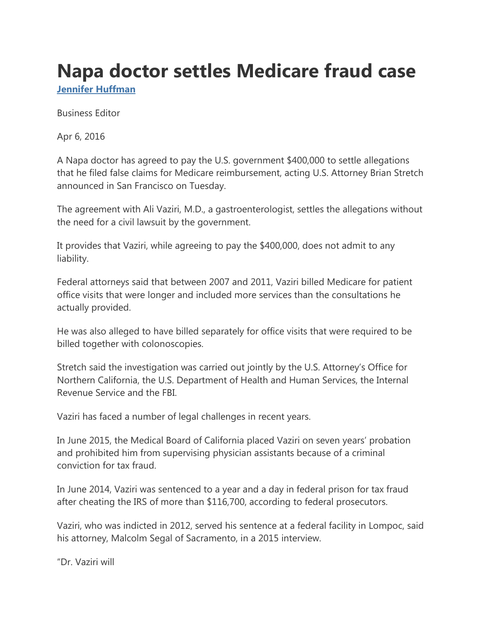## **Napa doctor settles Medicare fraud case**

**[Jennifer Huffman](https://napavalleyregister.com/users/profile/Jennifer%20Huffman)**

Business Editor

Apr 6, 2016

A Napa doctor has agreed to pay the U.S. government \$400,000 to settle allegations that he filed false claims for Medicare reimbursement, acting U.S. Attorney Brian Stretch announced in San Francisco on Tuesday.

The agreement with Ali Vaziri, M.D., a gastroenterologist, settles the allegations without the need for a civil lawsuit by the government.

It provides that Vaziri, while agreeing to pay the \$400,000, does not admit to any liability.

Federal attorneys said that between 2007 and 2011, Vaziri billed Medicare for patient office visits that were longer and included more services than the consultations he actually provided.

He was also alleged to have billed separately for office visits that were required to be billed together with colonoscopies.

Stretch said the investigation was carried out jointly by the U.S. Attorney's Office for Northern California, the U.S. Department of Health and Human Services, the Internal Revenue Service and the FBI.

Vaziri has faced a number of legal challenges in recent years.

In June 2015, the Medical Board of California placed Vaziri on seven years' probation and prohibited him from supervising physician assistants because of a criminal conviction for tax fraud.

In June 2014, Vaziri was sentenced to a year and a day in federal prison for tax fraud after cheating the IRS of more than \$116,700, according to federal prosecutors.

Vaziri, who was indicted in 2012, served his sentence at a federal facility in Lompoc, said his attorney, Malcolm Segal of Sacramento, in a 2015 interview.

"Dr. Vaziri will